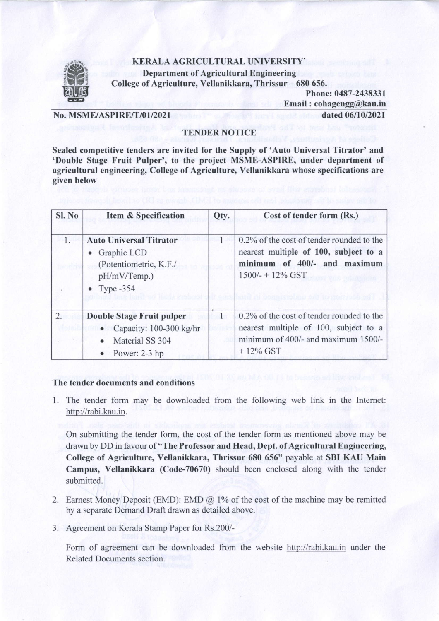## KERALA AGRICULTURAL UNIVERSITY'



Department of Agricultural Engineering College of Agriculture, Vellanikkara, Thrissur - 680 656.

> Phone: 0487-2438331 Email : cohagengg@kau.in

No. MSME/ASPIRE/T/01/2021 dated 06/10/2021

## TENDER NOTICE

Sealed competitive tenders are invited for the Supply of 'Auto Universal Titrator' and 'Double Stage Fruit Pulper', to the project MSME-ASPIRE, under department of agricultural engineering, College of Agriculture, Vellanikkara whose specifications are given below

| Sl. No | <b>Item &amp; Specification</b>                                                                                                | Qty. | Cost of tender form (Rs.)                                                                                                                 |
|--------|--------------------------------------------------------------------------------------------------------------------------------|------|-------------------------------------------------------------------------------------------------------------------------------------------|
| 1.     | <b>Auto Universal Titrator</b><br>Graphic LCD<br>(Potentiometric, K.F./<br>pH/mV/Temp.)<br>• Type $-354$                       |      | 0.2% of the cost of tender rounded to the<br>nearest multiple of 100, subject to a<br>minimum of 400/- and maximum<br>$1500/- + 12\%$ GST |
| 2.     | <b>Double Stage Fruit pulper</b><br>• Capacity: $100-300$ kg/hr<br>Material SS 304<br>Power: 2-3 hp<br>$\qquad \qquad \bullet$ |      | 0.2% of the cost of tender rounded to the<br>nearest multiple of 100, subject to a<br>minimum of 400/- and maximum 1500/-<br>$+12\%$ GST  |

## The tender documents and conditions

1. The tender form may be downloaded from the following web link in the Internet: http://rabi.kau.in.

On submitting the tender form, the cost of the tender form as mentioned above may be drawn by DD in favour of "The Professor and Head, Dept. of Agricultural Engineering, College of Agriculture, Vellanikkara, Thrissur 680 656" payable at SBI KAU Main Campus, Vellanikkara (Code-70670) should been enclosed along with the tender submitted.

- 2. Earnest Money Deposit (EMD): EMD  $\omega$  1% of the cost of the machine may be remitted by a separate Demand Draft drawn as detailed above.
- 3. Agreement on Kerala Stamp Paper for Rs.200/-

Form of agreement can be downloaded from the website http://rabi.kau.in under the Related Documents section.